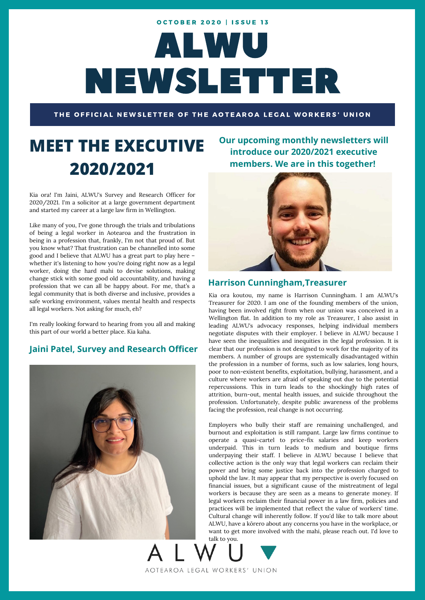# ALWU NEWSLETTER **OCTOBER 2020 | ISSUE 13**

THE OFFICIAL NEWSLETTER OF THE AOTEAROA LEGAL WORKERS' UNION

AOTEAROA LEGAL WORKERS' UNION

# **MEET THE EXECUTIVE 2020/2021**

Kia ora! I'm Jaini, ALWU's Survey and Research Officer for 2020/2021. I'm a solicitor at a large government department and started my career at a large law firm in Wellington.

Like many of you, I've gone through the trials and tribulations of being a legal worker in Aotearoa and the frustration in being in a profession that, frankly, I'm not that proud of. But you know what? That frustration can be channelled into some good and I believe that ALWU has a great part to play here – whether it's listening to how you're doing right now as a legal worker, doing the hard mahi to devise solutions, making change stick with some good old accountability, and having a profession that we can all be happy about. For me, that's a legal community that is both diverse and inclusive, provides a safe working environment, values mental health and respects all legal workers. Not asking for much, eh?

I'm really looking forward to hearing from you all and making this part of our world a better place. Kia kaha.

### **Jaini Patel, Survey and Research Officer**



**Our upcoming monthly newsletters will introduce our 2020/2021 executive members. We are in this together!**



### **Harrison Cunningham,Treasurer**

Kia ora koutou, my name is Harrison Cunningham. I am ALWU's Treasurer for 2020. I am one of the founding members of the union, having been involved right from when our union was conceived in a Wellington flat. In addition to my role as Treasurer, I also assist in leading ALWU's advocacy responses, helping individual members negotiate disputes with their employer. I believe in ALWU because I have seen the inequalities and inequities in the legal profession. It is clear that our profession is not designed to work for the majority of its members. A number of groups are systemically disadvantaged within the profession in a number of forms, such as low salaries, long hours, poor to non-existent benefits, exploitation, bullying, harassment, and a culture where workers are afraid of speaking out due to the potential repercussions. This in turn leads to the shockingly high rates of attrition, burn-out, mental health issues, and suicide throughout the profession. Unfortunately, despite public awareness of the problems facing the profession, real change is not occurring.

Employers who bully their staff are remaining unchallenged, and burnout and exploitation is still rampant. Large law firms continue to operate a quasi-cartel to price-fix salaries and keep workers underpaid. This in turn leads to medium and boutique firms underpaying their staff. I believe in ALWU because I believe that collective action is the only way that legal workers can reclaim their power and bring some justice back into the profession charged to uphold the law. It may appear that my perspective is overly focused on financial issues, but a significant cause of the mistreatment of legal workers is because they are seen as a means to generate money. If legal workers reclaim their financial power in a law firm, policies and practices will be implemented that reflect the value of workers' time. Cultural change will inherently follow. If you'd like to talk more about ALWU, have a kōrero about any concerns you have in the workplace, or want to get more involved with the mahi, please reach out. I'd love to talk to you.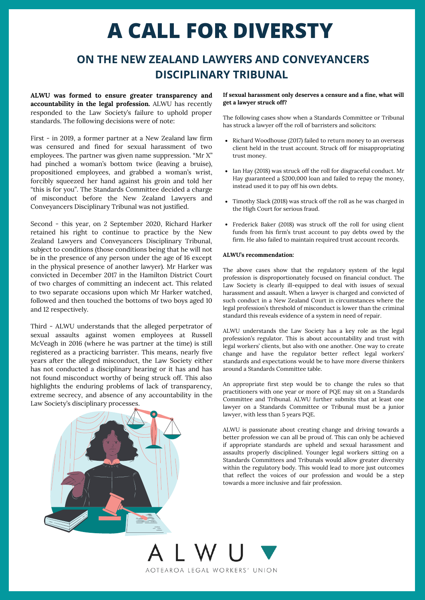# **A CALL FOR DIVERSTY**

## **ON THE NEW ZEALAND LAWYERS AND CONVEYANCERS DISCIPLINARY TRIBUNAL**

**ALWU was formed to ensure greater transparency and accountability in the legal profession.** ALWU has recently responded to the Law Society's failure to uphold proper standards. The following decisions were of note:

First - in 2019, a former partner at a New Zealand law firm was censured and fined for sexual harassment of two employees. The partner was given name suppression. "Mr X" had pinched a woman's bottom twice (leaving a bruise), propositioned employees, and grabbed a woman's wrist, forcibly squeezed her hand against his groin and told her "this is for you". The Standards Committee decided a charge of misconduct before the New Zealand Lawyers and Conveyancers Disciplinary Tribunal was not justified.

Second - this year, on 2 September 2020, Richard Harker retained his right to continue to practice by the New Zealand Lawyers and Conveyancers Disciplinary Tribunal, subject to conditions (those conditions being that he will not be in the presence of any person under the age of 16 except in the physical presence of another lawyer). Mr Harker was convicted in December 2017 in the Hamilton District Court of two charges of committing an indecent act. This related to two separate occasions upon which Mr Harker watched, followed and then touched the bottoms of two boys aged 10 and 12 respectively.

Third - ALWU understands that the alleged perpetrator of sexual assaults against women employees at Russell McVeagh in 2016 (where he was partner at the time) is still registered as a practicing barrister. This means, nearly five years after the alleged misconduct, the Law Society either has not conducted a disciplinary hearing or it has and has not found misconduct worthy of being struck off. This also highlights the enduring problems of lack of transparency, extreme secrecy, and absence of any accountability in the Law Society's disciplinary processes.

### **If sexual harassment only deserves a censure and a fine, what will get a lawyer struck off?**

The following cases show when a Standards Committee or Tribunal has struck a lawyer off the roll of barristers and solicitors:

- Richard Woodhouse (2017) failed to return money to an overseas client held in the trust account. Struck off for misappropriating trust money.
- Ian Hay (2018) was struck off the roll for disgraceful conduct. Mr Hay guaranteed a \$200,000 loan and failed to repay the money, instead used it to pay off his own debts.
- Timothy Slack (2018) was struck off the roll as he was charged in the High Court for serious fraud.
- Frederick Baker (2018) was struck off the roll for using client funds from his firm's trust account to pay debts owed by the firm. He also failed to maintain required trust account records.

### **ALWU's recommendation:**

The above cases show that the regulatory system of the legal profession is disproportionately focused on financial conduct. The Law Society is clearly ill-equipped to deal with issues of sexual harassment and assault. When a lawyer is charged and convicted of such conduct in a New Zealand Court in circumstances where the legal profession's threshold of misconduct is lower than the criminal standard this reveals evidence of a system in need of repair.

ALWU understands the Law Society has a key role as the legal profession's regulator. This is about accountability and trust with legal workers' clients, but also with one another. One way to create change and have the regulator better reflect legal workers' standards and expectations would be to have more diverse thinkers around a Standards Committee table.

An appropriate first step would be to change the rules so that practitioners with one year or more of PQE may sit on a Standards Committee and Tribunal. ALWU further submits that at least one lawyer on a Standards Committee or Tribunal must be a junior lawyer, with less than 5 years PQE.

ALWU is passionate about creating change and driving towards a better profession we can all be proud of. This can only be achieved if appropriate standards are upheld and sexual harassment and assaults properly disciplined. Younger legal workers sitting on a Standards Committees and Tribunals would allow greater diversity within the regulatory body. This would lead to more just outcomes that reflect the voices of our profession and would be a step towards a more inclusive and fair profession.

AOTEAROA LEGAL WORKERS' UNION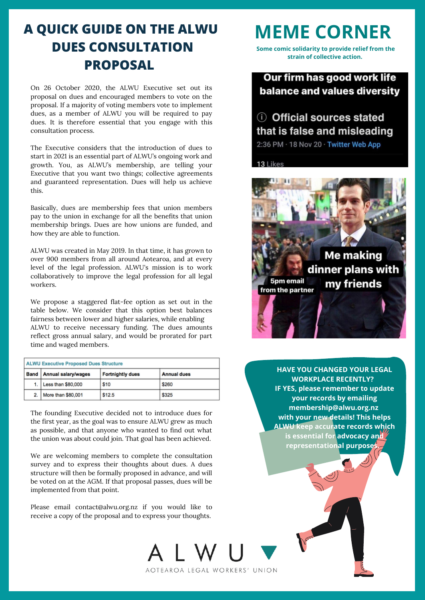## **A QUICK GUIDE ON THE ALWU DUES CONSULTATION PROPOSAL**

On 26 October 2020, the ALWU Executive set out its proposal on dues and encouraged members to vote on the proposal. If a majority of voting members vote to implement dues, as a member of ALWU you will be required to pay dues. It is therefore essential that you engage with this consultation process.

The Executive considers that the introduction of dues to start in 2021 is an essential part of ALWU's ongoing work and growth. You, as ALWU's membership, are telling your Executive that you want two things; collective agreements and guaranteed representation. Dues will help us achieve this.

Basically, dues are membership fees that union members pay to the union in exchange for all the benefits that union membership brings. Dues are how unions are funded, and how they are able to function.

ALWU was created in May 2019. In that time, it has grown to over 900 members from all around Aotearoa, and at every level of the legal profession. ALWU's mission is to work collaboratively to improve the legal profession for all legal workers.

We propose a staggered flat-fee option as set out in the table below. We consider that this option best balances fairness between lower and higher salaries, while enabling ALWU to receive necessary funding. The dues amounts reflect gross annual salary, and would be prorated for part time and waged members.

| <b>ALWU Executive Proposed Dues Structure</b> |                            |                         |                    |
|-----------------------------------------------|----------------------------|-------------------------|--------------------|
|                                               | Band   Annual salary/wages | <b>Fortnightly dues</b> | <b>Annual dues</b> |
| 1.                                            | Less than \$80,000         | \$10                    | \$260              |
| 2.                                            | More than \$80,001         | \$12.5                  | <b>\$325</b>       |

The founding Executive decided not to introduce dues for the first year, as the goal was to ensure ALWU grew as much as possible, and that anyone who wanted to find out what the union was about could join. That goal has been achieved.

We are welcoming members to complete the consultation survey and to express their thoughts about dues. A dues structure will then be formally proposed in advance, and will be voted on at the AGM. If that proposal passes, dues will be implemented from that point.

Please email contact@alwu.org.nz if you would like to receive a copy of the proposal and to express your thoughts.

## **MEME CORNER**

**Some comic solidarity to provide relief from the strain of collective action.**

Our firm has good work life balance and values diversity

## (i) Official sources stated that is false and misleading

2:36 PM · 18 Nov 20 · Twitter Web App

13 Likes



**HAVE YOU CHANGED YOUR LEGAL WORKPLACE RECENTLY? IF YES, please remember to update your records by emailing membership@alwu.org.nz with your new details! This helps ALWU keep accurate records which is essential for advocacy and representational purposes.**

AOTEAROA LEGAL WORKERS' UNION